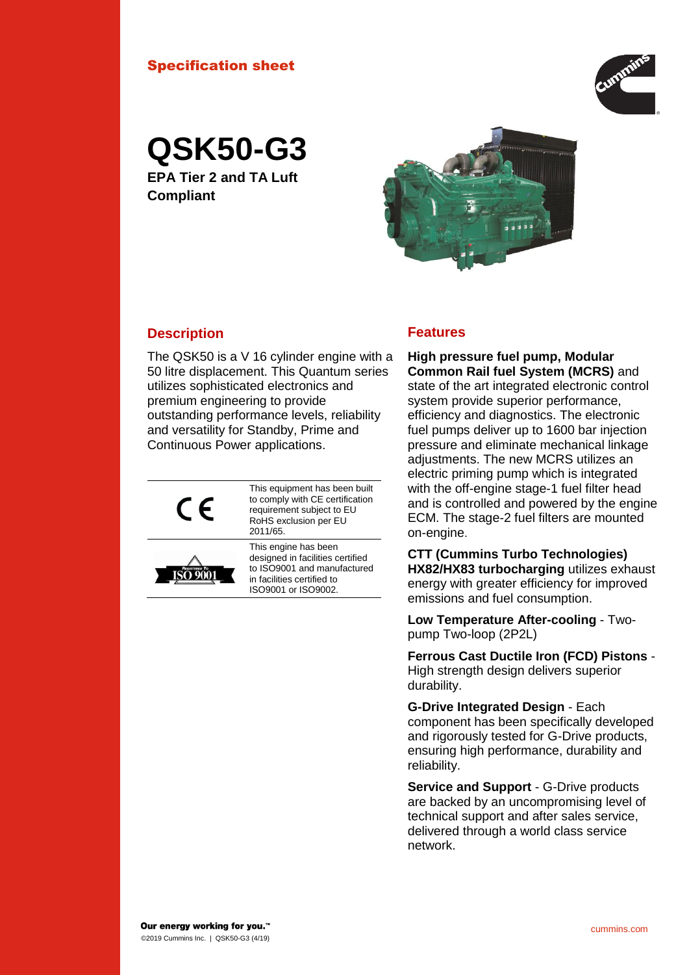### Specification sheet



**QSK50-G3**

**EPA Tier 2 and TA Luft Compliant**



## **Description Features**

The QSK50 is a V 16 cylinder engine with a 50 litre displacement. This Quantum series utilizes sophisticated electronics and premium engineering to provide outstanding performance levels, reliability and versatility for Standby, Prime and Continuous Power applications.



This equipment has been built to comply with CE certification requirement subject to EU RoHS exclusion per EU 2011/65.



This engine has been designed in facilities certified to ISO9001 and manufactured in facilities certified to ISO9001 or ISO9002.

**High pressure fuel pump, Modular Common Rail fuel System (MCRS)** and state of the art integrated electronic control system provide superior performance, efficiency and diagnostics. The electronic fuel pumps deliver up to 1600 bar injection pressure and eliminate mechanical linkage adjustments. The new MCRS utilizes an electric priming pump which is integrated with the off-engine stage-1 fuel filter head and is controlled and powered by the engine ECM. The stage-2 fuel filters are mounted on-engine.

**CTT (Cummins Turbo Technologies) HX82/HX83 turbocharging** utilizes exhaust energy with greater efficiency for improved emissions and fuel consumption.

**Low Temperature After-cooling** - Twopump Two-loop (2P2L)

**Ferrous Cast Ductile Iron (FCD) Pistons** - High strength design delivers superior durability.

**G-Drive Integrated Design** - Each component has been specifically developed and rigorously tested for G-Drive products, ensuring high performance, durability and reliability.

**Service and Support** - G-Drive products are backed by an uncompromising level of technical support and after sales service, delivered through a world class service network.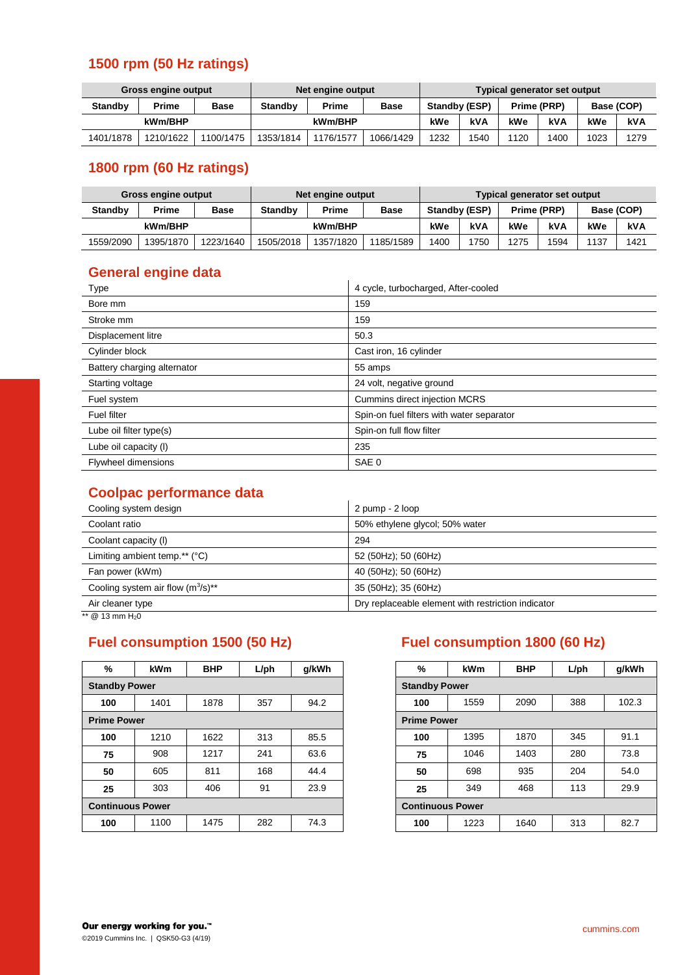## **1500 rpm (50 Hz ratings)**

| Gross engine output |           |             | Net engine output |           |             | Typical generator set output |            |             |      |            |      |
|---------------------|-----------|-------------|-------------------|-----------|-------------|------------------------------|------------|-------------|------|------------|------|
| <b>Standby</b>      | Prime     | <b>Base</b> | <b>Standby</b>    | Prime     | <b>Base</b> | Standby (ESP)                |            | Prime (PRP) |      | Base (COP) |      |
| kWm/BHP             |           |             |                   | kWm/BHP   |             | kWe                          | <b>kVA</b> | kWe         | kVA  | kWe        | kVA  |
| 1401/1878           | 1210/1622 | 1100/1475   | 1353/1814         | 1176/1577 | 1066/1429   | 1232                         | 1540       | 1120        | 1400 | 1023       | 1279 |

# **1800 rpm (60 Hz ratings)**

| <b>Gross engine output</b> |           |             | Net engine output |           |             | Typical generator set output |      |      |             |      |            |  |
|----------------------------|-----------|-------------|-------------------|-----------|-------------|------------------------------|------|------|-------------|------|------------|--|
| <b>Standby</b>             | Prime     | <b>Base</b> | <b>Standby</b>    | Prime     | <b>Base</b> | Standby (ESP)                |      |      | Prime (PRP) |      | Base (COP) |  |
|                            | kWm/BHP   |             |                   | kWm/BHP   |             | kWe                          | kVA  | kWe  | kVA         | kWe  | kVA        |  |
| 1559/2090                  | 1395/1870 | 1223/1640   | 1505/2018         | 1357/1820 | 1185/1589   | 1400                         | '750 | 1275 | 1594        | 1137 | 1421       |  |

# **General engine data**

| Type                        | 4 cycle, turbocharged, After-cooled       |
|-----------------------------|-------------------------------------------|
| Bore mm                     | 159                                       |
| Stroke mm                   | 159                                       |
| Displacement litre          | 50.3                                      |
| Cylinder block              | Cast iron, 16 cylinder                    |
| Battery charging alternator | 55 amps                                   |
| Starting voltage            | 24 volt, negative ground                  |
| Fuel system                 | <b>Cummins direct injection MCRS</b>      |
| <b>Fuel filter</b>          | Spin-on fuel filters with water separator |
| Lube oil filter type(s)     | Spin-on full flow filter                  |
| Lube oil capacity (I)       | 235                                       |
| <b>Flywheel dimensions</b>  | SAE <sub>0</sub>                          |

## **Coolpac performance data**

| Cooling system design                  | 2 pump - 2 loop                                    |  |  |
|----------------------------------------|----------------------------------------------------|--|--|
| Coolant ratio                          | 50% ethylene glycol; 50% water                     |  |  |
| Coolant capacity (I)                   | 294                                                |  |  |
| Limiting ambient temp.** $(°C)$        | 52 (50Hz); 50 (60Hz)                               |  |  |
| Fan power (kWm)                        | 40 (50Hz); 50 (60Hz)                               |  |  |
| Cooling system air flow $(m^3/s)^{**}$ | 35 (50Hz); 35 (60Hz)                               |  |  |
| Air cleaner type                       | Dry replaceable element with restriction indicator |  |  |

 $\frac{1}{12}$  mm H<sub>2</sub>0

| ℅                       | <b>kWm</b> | <b>BHP</b>              | $L$ /ph | q/kWh | ℅   | kWm  |
|-------------------------|------------|-------------------------|---------|-------|-----|------|
| <b>Standby Power</b>    |            | <b>Standby Power</b>    |         |       |     |      |
| 100                     | 1401       | 1878                    | 357     | 94.2  | 100 | 1559 |
| <b>Prime Power</b>      |            | <b>Prime Power</b>      |         |       |     |      |
| 100                     | 1210       | 1622                    | 313     | 85.5  | 100 | 1395 |
| 75                      | 908        | 1217                    | 241     | 63.6  | 75  | 1046 |
| 50                      | 605        | 811                     | 168     | 44.4  | 50  | 698  |
| 25                      | 303        | 406                     | 91      | 23.9  | 25  | 349  |
| <b>Continuous Power</b> |            | <b>Continuous Power</b> |         |       |     |      |
| 100                     | 1100       | 1475                    | 282     | 74.3  | 100 | 1223 |
|                         |            |                         |         |       |     |      |

# **Fuel consumption 1500 (50 Hz) Fuel consumption 1800 (60 Hz)**

| %        | <b>kWm</b>         | <b>BHP</b> | $L$ /ph | g/kWh |
|----------|--------------------|------------|---------|-------|
|          | <b>andby Power</b> |            |         |       |
|          | 1401               | 1878       | 357     | 94.2  |
| me Power |                    |            |         |       |
| 100      | 1210               | 1622       | 313     | 85.5  |
|          | 908                | 1217       | 241     | 63.6  |
|          | 605                | 811        | 168     | 44.4  |
| 25       | 303                | 406        | 91      | 23.9  |
|          | ntinuous Power     |            |         |       |
| 100      | 1100               | 1475       | 282     | 74.3  |